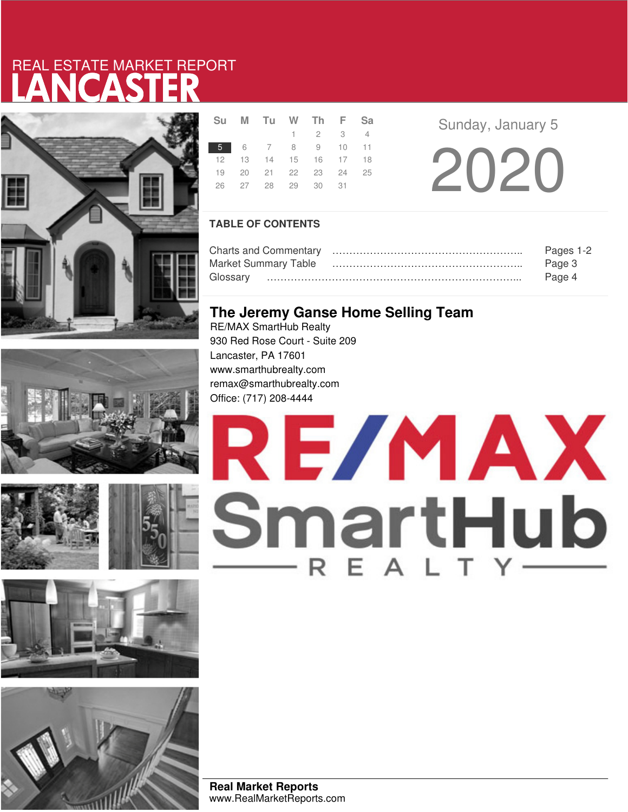# LANCASTER REAL ESTATE MARKET REPORT









| <b>Su</b> | M Tu W Th F Sa             |                             |  |  |
|-----------|----------------------------|-----------------------------|--|--|
|           |                            | $1 \quad 2 \quad 3 \quad 4$ |  |  |
|           | 5 6 7 8 9 10 11            |                             |  |  |
|           | 12  13  14  15  16  17  18 |                             |  |  |
| 19        | 20 21 22 23 24 25          |                             |  |  |
| 26        |                            |                             |  |  |
|           |                            |                             |  |  |

**Sunday, January 5** 

20 20

### **TABLE OF CONTENTS**

| Pages 1-2 |  |  |  |
|-----------|--|--|--|
| Page 3    |  |  |  |
| Page 4    |  |  |  |

## **The Jeremy Ganse Home Selling Team**

RE/MAX SmartHub Realty 930 Red Rose Court - Suite 209 Lancaster, PA 17601 www.smarthubrealty.com remax@smarthubrealty.com Office: (717) 208-4444



**Real Market Reports** www.RealMarketReports.com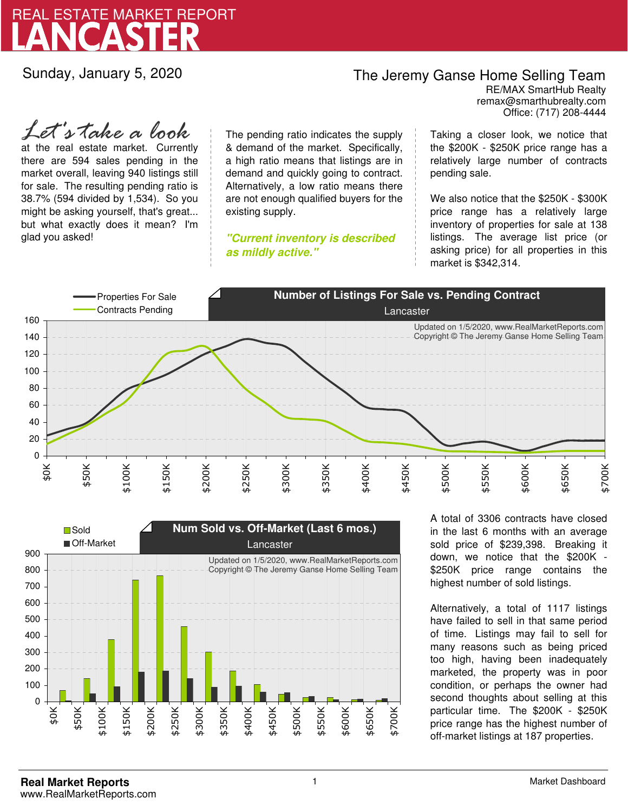

Sunday, January 5, 2020

## The Jeremy Ganse Home Selling Team

remax@smarthubrealty.com RE/MAX SmartHub Realty Office: (717) 208-4444

at the real estate market. Currently there are 594 sales pending in the market overall, leaving 940 listings still for sale. The resulting pending ratio is 38.7% (594 divided by 1,534). So you might be asking yourself, that's great... but what exactly does it mean? I'm glad you asked! *Let's take a look*

The pending ratio indicates the supply & demand of the market. Specifically, a high ratio means that listings are in demand and quickly going to contract. Alternatively, a low ratio means there are not enough qualified buyers for the existing supply.

**"Current inventory is described as mildly active."**

Taking a closer look, we notice that the \$200K - \$250K price range has a relatively large number of contracts pending sale.

We also notice that the \$250K - \$300K price range has a relatively large inventory of properties for sale at 138 listings. The average list price (or asking price) for all properties in this market is \$342,314.





A total of 3306 contracts have closed in the last 6 months with an average sold price of \$239,398. Breaking it down, we notice that the \$200K - \$250K price range contains the highest number of sold listings.

Alternatively, a total of 1117 listings have failed to sell in that same period of time. Listings may fail to sell for many reasons such as being priced too high, having been inadequately marketed, the property was in poor condition, or perhaps the owner had second thoughts about selling at this particular time. The \$200K - \$250K price range has the highest number of off-market listings at 187 properties.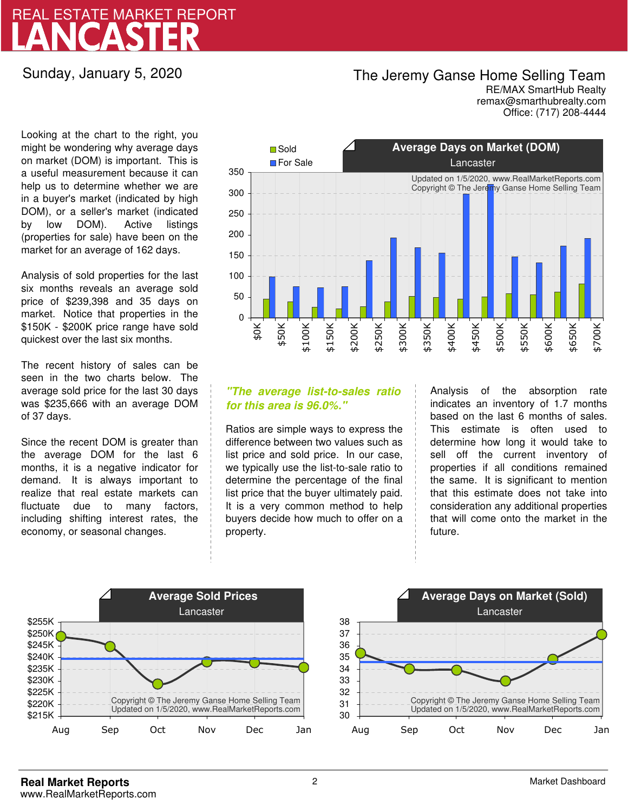# LANCASTER REAL ESTATE MARKET REPORT

### Sunday, January 5, 2020

## The Jeremy Ganse Home Selling Team

remax@smarthubrealty.com RE/MAX SmartHub Realty Office: (717) 208-4444

Looking at the chart to the right, you might be wondering why average days on market (DOM) is important. This is a useful measurement because it can help us to determine whether we are in a buyer's market (indicated by high DOM), or a seller's market (indicated by low DOM). Active listings (properties for sale) have been on the market for an average of 162 days.

Analysis of sold properties for the last six months reveals an average sold price of \$239,398 and 35 days on market. Notice that properties in the \$150K - \$200K price range have sold quickest over the last six months.

The recent history of sales can be seen in the two charts below. The average sold price for the last 30 days was \$235,666 with an average DOM of 37 days.

Since the recent DOM is greater than the average DOM for the last 6 months, it is a negative indicator for demand. It is always important to realize that real estate markets can fluctuate due to many factors, including shifting interest rates, the economy, or seasonal changes.



### **"The average list-to-sales ratio for this area is 96.0%."**

Ratios are simple ways to express the difference between two values such as list price and sold price. In our case, we typically use the list-to-sale ratio to determine the percentage of the final list price that the buyer ultimately paid. It is a very common method to help buyers decide how much to offer on a property.

Analysis of the absorption rate indicates an inventory of 1.7 months based on the last 6 months of sales. This estimate is often used to determine how long it would take to sell off the current inventory of properties if all conditions remained the same. It is significant to mention that this estimate does not take into consideration any additional properties that will come onto the market in the future.



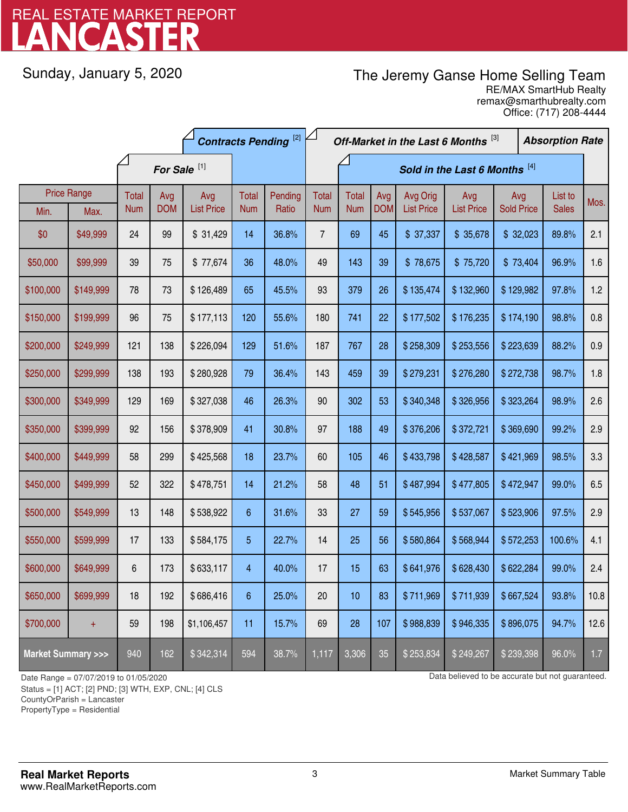# LANCASTER REAL ESTATE MARKET REPORT

Sunday, January 5, 2020

# The Jeremy Ganse Home Selling Team

remax@smarthubrealty.com RE/MAX SmartHub Realty Office: (717) 208-4444

|                                    |                    | <b>Contracts Pending [2]</b> |            |                   |                         | Off-Market in the Last 6 Months [3] |                |              |            |                   |                   | <b>Absorption Rate</b> |  |              |      |
|------------------------------------|--------------------|------------------------------|------------|-------------------|-------------------------|-------------------------------------|----------------|--------------|------------|-------------------|-------------------|------------------------|--|--------------|------|
|                                    |                    | For Sale <sup>[1]</sup>      |            |                   |                         | Sold in the Last 6 Months [4]       |                |              |            |                   |                   |                        |  |              |      |
|                                    | <b>Price Range</b> | Total                        | Avg        | Avg               | Total                   | Pending                             | <b>Total</b>   | <b>Total</b> | Avg        | Avg Orig          | Avg               | Avg                    |  | List to      | Mos. |
| Min.                               | Max.               | <b>Num</b>                   | <b>DOM</b> | <b>List Price</b> | <b>Num</b>              | Ratio                               | <b>Num</b>     | <b>Num</b>   | <b>DOM</b> | <b>List Price</b> | <b>List Price</b> | <b>Sold Price</b>      |  | <b>Sales</b> |      |
| \$0                                | \$49,999           | 24                           | 99         | \$31,429          | 14                      | 36.8%                               | $\overline{7}$ | 69           | 45         | \$37,337          | \$35,678          | \$32,023               |  | 89.8%        | 2.1  |
| \$50,000                           | \$99,999           | 39                           | 75         | \$77,674          | 36                      | 48.0%                               | 49             | 143          | 39         | \$78,675          | \$75,720          | \$73,404               |  | 96.9%        | 1.6  |
| \$100,000                          | \$149,999          | 78                           | 73         | \$126,489         | 65                      | 45.5%                               | 93             | 379          | 26         | \$135,474         | \$132,960         | \$129,982              |  | 97.8%        | 1.2  |
| \$150,000                          | \$199,999          | 96                           | 75         | \$177,113         | 120                     | 55.6%                               | 180            | 741          | 22         | \$177,502         | \$176,235         | \$174,190              |  | 98.8%        | 0.8  |
| \$200,000                          | \$249,999          | 121                          | 138        | \$226,094         | 129                     | 51.6%                               | 187            | 767          | 28         | \$258,309         | \$253,556         | \$223,639              |  | 88.2%        | 0.9  |
| \$250,000                          | \$299,999          | 138                          | 193        | \$280,928         | 79                      | 36.4%                               | 143            | 459          | 39         | \$279,231         | \$276,280         | \$272,738              |  | 98.7%        | 1.8  |
| \$300,000                          | \$349,999          | 129                          | 169        | \$327,038         | 46                      | 26.3%                               | 90             | 302          | 53         | \$340,348         | \$326,956         | \$323,264              |  | 98.9%        | 2.6  |
| \$350,000                          | \$399,999          | 92                           | 156        | \$378,909         | 41                      | 30.8%                               | 97             | 188          | 49         | \$376,206         | \$372,721         | \$369,690              |  | 99.2%        | 2.9  |
| \$400,000                          | \$449,999          | 58                           | 299        | \$425,568         | 18                      | 23.7%                               | 60             | 105          | 46         | \$433,798         | \$428,587         | \$421,969              |  | 98.5%        | 3.3  |
| \$450,000                          | \$499,999          | 52                           | 322        | \$478,751         | 14                      | 21.2%                               | 58             | 48           | 51         | \$487,994         | \$477,805         | \$472,947              |  | 99.0%        | 6.5  |
| \$500,000                          | \$549,999          | 13                           | 148        | \$538,922         | $6\phantom{.}6$         | 31.6%                               | 33             | 27           | 59         | \$545,956         | \$537,067         | \$523,906              |  | 97.5%        | 2.9  |
| \$550,000                          | \$599,999          | 17                           | 133        | \$584,175         | 5                       | 22.7%                               | 14             | 25           | 56         | \$580,864         | \$568,944         | \$572,253              |  | 100.6%       | 4.1  |
| \$600,000                          | \$649,999          | 6                            | 173        | \$633,117         | $\overline{\mathbf{4}}$ | 40.0%                               | 17             | 15           | 63         | \$641,976         | \$628,430         | \$622,284              |  | 99.0%        | 2.4  |
| \$650,000                          | \$699,999          | 18                           | 192        | \$686,416         | 6                       | 25.0%                               | 20             | 10           | 83         | \$711,969         | \$711,939         | \$667,524              |  | 93.8%        | 10.8 |
| \$700,000                          | $\ddot{}$          | 59                           | 198        | \$1,106,457       | 11                      | 15.7%                               | 69             | 28           | 107        | \$988,839         | \$946,335         | \$896,075              |  | 94.7%        | 12.6 |
| <b>Market Summary &gt;&gt;&gt;</b> |                    | 940                          | 162        | \$342,314         | 594                     | 38.7%                               | 1,117          | 3,306        | 35         | \$253,834         | \$249,267         | \$239,398              |  | 96.0%        | 1.7  |

Status = [1] ACT; [2] PND; [3] WTH, EXP, CNL; [4] CLS

CountyOrParish = Lancaster

PropertyType = Residential

1

Date Range = 07/07/2019 to 01/05/2020 Data believed to be accurate but not guaranteed.